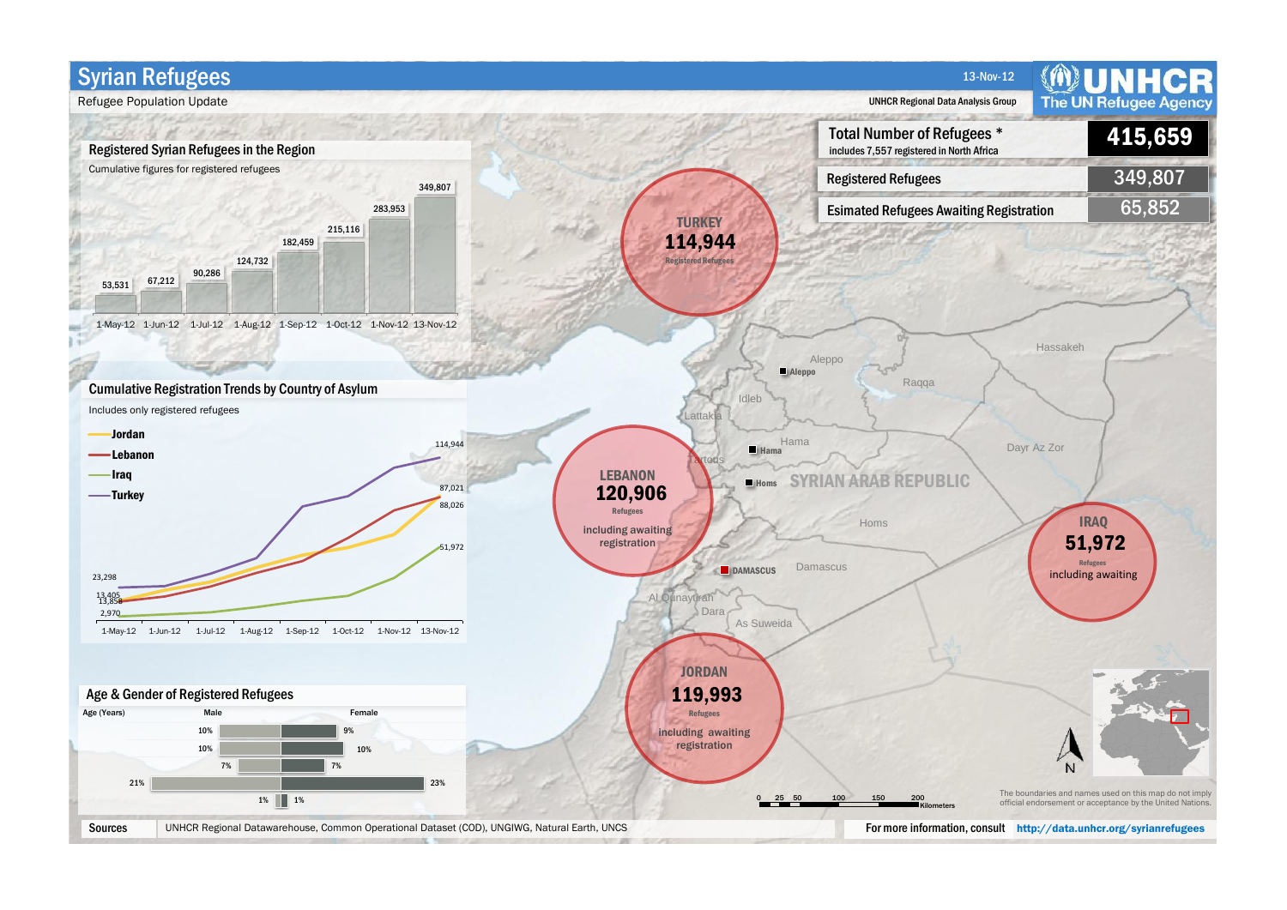